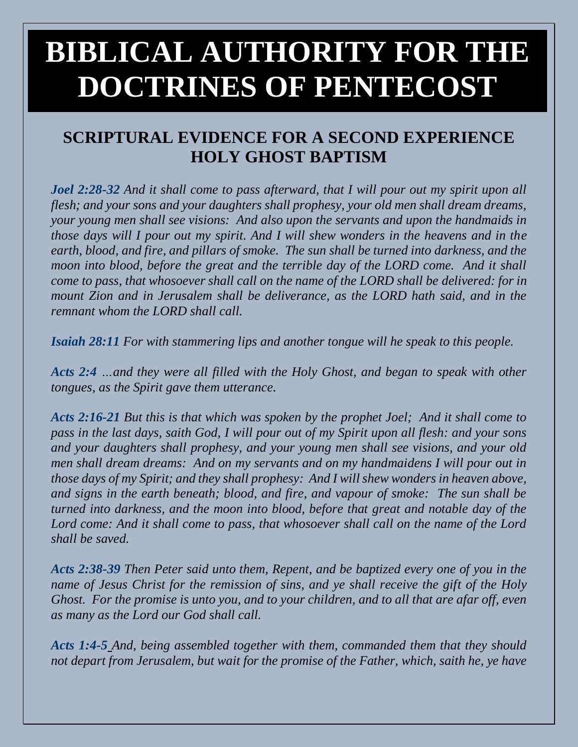# **BIBLICAL AUTHORITY FOR THE DOCTRINES OF PENTECOST**

## **SCRIPTURAL EVIDENCE FOR A SECOND EXPERIENCE HOLY GHOST BAPTISM**

*Joel 2:28-32 And it shall come to pass afterward, that I will pour out my spirit upon all flesh; and your sons and your daughters shall prophesy, your old men shall dream dreams, your young men shall see visions: And also upon the servants and upon the handmaids in those days will I pour out my spirit. And I will shew wonders in the heavens and in the earth, blood, and fire, and pillars of smoke. The sun shall be turned into darkness, and the moon into blood, before the great and the terrible day of the LORD come. And it shall come to pass, that whosoever shall call on the name of the LORD shall be delivered: for in mount Zion and in Jerusalem shall be deliverance, as the LORD hath said, and in the remnant whom the LORD shall call.*

*Isaiah 28:11 For with stammering lips and another tongue will he speak to this people.* 

*Acts 2:4 …and they were all filled with the Holy Ghost, and began to speak with other tongues, as the Spirit gave them utterance.*

*Acts 2:16-21 But this is that which was spoken by the prophet Joel; And it shall come to pass in the last days, saith God, I will pour out of my Spirit upon all flesh: and your sons and your daughters shall prophesy, and your young men shall see visions, and your old men shall dream dreams: And on my servants and on my handmaidens I will pour out in those days of my Spirit; and they shall prophesy: And I will shew wonders in heaven above, and signs in the earth beneath; blood, and fire, and vapour of smoke: The sun shall be turned into darkness, and the moon into blood, before that great and notable day of the Lord come: And it shall come to pass, that whosoever shall call on the name of the Lord shall be saved.* 

*Acts 2:38-39 Then Peter said unto them, Repent, and be baptized every one of you in the name of Jesus Christ for the remission of sins, and ye shall receive the gift of the Holy Ghost. For the promise is unto you, and to your children, and to all that are afar off, even as many as the Lord our God shall call.*

*Acts 1:4-5 And, being assembled together with them, commanded them that they should not depart from Jerusalem, but wait for the promise of the Father, which, saith he, ye have*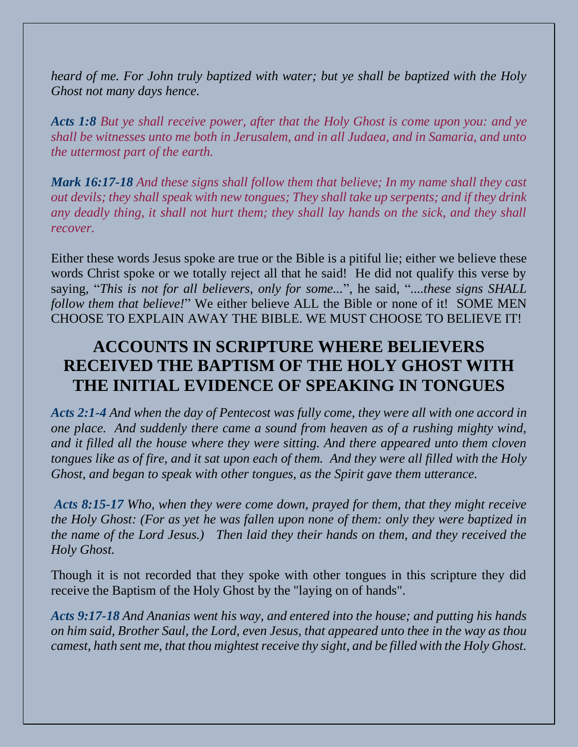*heard of me. For John truly baptized with water; but ye shall be baptized with the Holy Ghost not many days hence.* 

*Acts 1:8 But ye shall receive power, after that the Holy Ghost is come upon you: and ye shall be witnesses unto me both in Jerusalem, and in all Judaea, and in Samaria, and unto the uttermost part of the earth.* 

*Mark 16:17-18 And these signs shall follow them that believe; In my name shall they cast out devils; they shall speak with new tongues; They shall take up serpents; and if they drink any deadly thing, it shall not hurt them; they shall lay hands on the sick, and they shall recover.*

Either these words Jesus spoke are true or the Bible is a pitiful lie; either we believe these words Christ spoke or we totally reject all that he said! He did not qualify this verse by saying, "*This is not for all believers, only for some...*", he said, "*....these signs SHALL follow them that believe!*" We either believe ALL the Bible or none of it! SOME MEN CHOOSE TO EXPLAIN AWAY THE BIBLE. WE MUST CHOOSE TO BELIEVE IT!

## **ACCOUNTS IN SCRIPTURE WHERE BELIEVERS RECEIVED THE BAPTISM OF THE HOLY GHOST WITH THE INITIAL EVIDENCE OF SPEAKING IN TONGUES**

*Acts 2:1-4 And when the day of Pentecost was fully come, they were all with one accord in one place. And suddenly there came a sound from heaven as of a rushing mighty wind, and it filled all the house where they were sitting. And there appeared unto them cloven tongues like as of fire, and it sat upon each of them. And they were all filled with the Holy Ghost, and began to speak with other tongues, as the Spirit gave them utterance.* 

*Acts 8:15-17 Who, when they were come down, prayed for them, that they might receive the Holy Ghost: (For as yet he was fallen upon none of them: only they were baptized in the name of the Lord Jesus.) Then laid they their hands on them, and they received the Holy Ghost.*

Though it is not recorded that they spoke with other tongues in this scripture they did receive the Baptism of the Holy Ghost by the "laying on of hands".

*Acts 9:17-18 And Ananias went his way, and entered into the house; and putting his hands on him said, Brother Saul, the Lord, even Jesus, that appeared unto thee in the way as thou camest, hath sent me, that thou mightest receive thy sight, and be filled with the Holy Ghost.*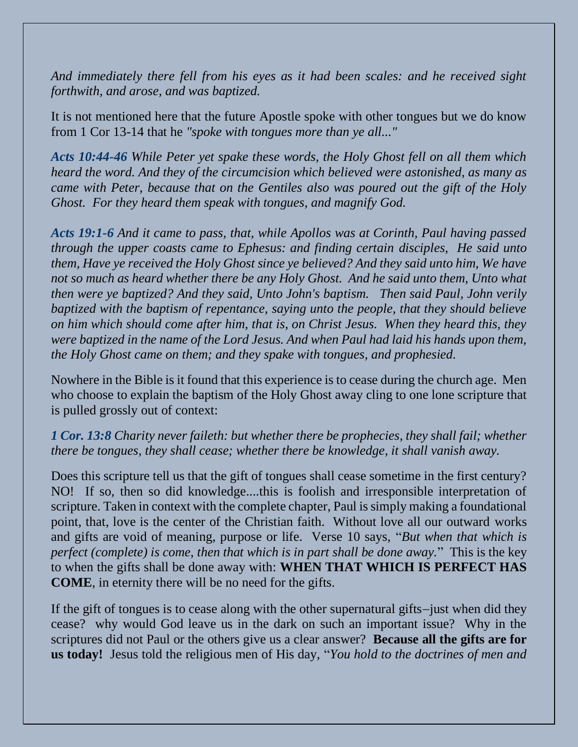*And immediately there fell from his eyes as it had been scales: and he received sight forthwith, and arose, and was baptized.* 

It is not mentioned here that the future Apostle spoke with other tongues but we do know from 1 Cor 13-14 that he *"spoke with tongues more than ye all..."*

*Acts 10:44-46 While Peter yet spake these words, the Holy Ghost fell on all them which heard the word. And they of the circumcision which believed were astonished, as many as came with Peter, because that on the Gentiles also was poured out the gift of the Holy Ghost. For they heard them speak with tongues, and magnify God.*

*Acts 19:1-6 And it came to pass, that, while Apollos was at Corinth, Paul having passed through the upper coasts came to Ephesus: and finding certain disciples, He said unto them, Have ye received the Holy Ghost since ye believed? And they said unto him, We have not so much as heard whether there be any Holy Ghost. And he said unto them, Unto what then were ye baptized? And they said, Unto John's baptism. Then said Paul, John verily baptized with the baptism of repentance, saying unto the people, that they should believe on him which should come after him, that is, on Christ Jesus. When they heard this, they were baptized in the name of the Lord Jesus. And when Paul had laid his hands upon them, the Holy Ghost came on them; and they spake with tongues, and prophesied.* 

Nowhere in the Bible is it found that this experience is to cease during the church age. Men who choose to explain the baptism of the Holy Ghost away cling to one lone scripture that is pulled grossly out of context:

#### *1 Cor. 13:8 Charity never faileth: but whether there be prophecies, they shall fail; whether there be tongues, they shall cease; whether there be knowledge, it shall vanish away.*

Does this scripture tell us that the gift of tongues shall cease sometime in the first century? NO! If so, then so did knowledge....this is foolish and irresponsible interpretation of scripture. Taken in context with the complete chapter, Paul is simply making a foundational point, that, love is the center of the Christian faith. Without love all our outward works and gifts are void of meaning, purpose or life. Verse 10 says, "*But when that which is perfect (complete) is come, then that which is in part shall be done away.*" This is the key to when the gifts shall be done away with: **WHEN THAT WHICH IS PERFECT HAS COME**, in eternity there will be no need for the gifts.

If the gift of tongues is to cease along with the other supernatural gifts−just when did they cease? why would God leave us in the dark on such an important issue? Why in the scriptures did not Paul or the others give us a clear answer? **Because all the gifts are for us today!** Jesus told the religious men of His day, "*You hold to the doctrines of men and*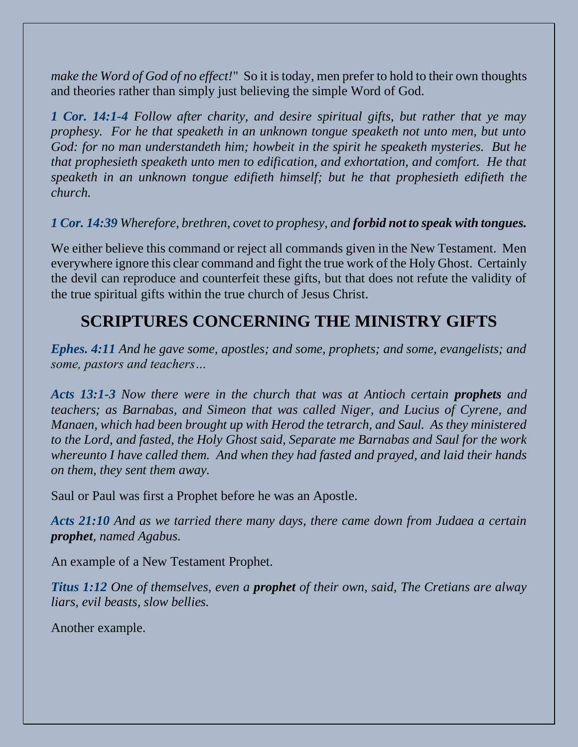*make the Word of God of no effect!*" So it is today, men prefer to hold to their own thoughts and theories rather than simply just believing the simple Word of God.

*1 Cor. 14:1-4 Follow after charity, and desire spiritual gifts, but rather that ye may prophesy. For he that speaketh in an unknown tongue speaketh not unto men, but unto God: for no man understandeth him; howbeit in the spirit he speaketh mysteries. But he that prophesieth speaketh unto men to edification, and exhortation, and comfort. He that speaketh in an unknown tongue edifieth himself; but he that prophesieth edifieth the church.* 

#### *1 Cor. 14:39 Wherefore, brethren, covet to prophesy, and forbid not to speak with tongues.*

We either believe this command or reject all commands given in the New Testament. Men everywhere ignore this clear command and fight the true work of the Holy Ghost. Certainly the devil can reproduce and counterfeit these gifts, but that does not refute the validity of the true spiritual gifts within the true church of Jesus Christ.

## **SCRIPTURES CONCERNING THE MINISTRY GIFTS**

*Ephes. 4:11 And he gave some, apostles; and some, prophets; and some, evangelists; and some, pastors and teachers…*

*Acts 13:1-3 Now there were in the church that was at Antioch certain prophets and teachers; as Barnabas, and Simeon that was called Niger, and Lucius of Cyrene, and Manaen, which had been brought up with Herod the tetrarch, and Saul. As they ministered to the Lord, and fasted, the Holy Ghost said, Separate me Barnabas and Saul for the work whereunto I have called them. And when they had fasted and prayed, and laid their hands on them, they sent them away.* 

Saul or Paul was first a Prophet before he was an Apostle.

*Acts 21:10 And as we tarried there many days, there came down from Judaea a certain prophet, named Agabus.* 

An example of a New Testament Prophet.

*Titus 1:12 One of themselves, even a prophet of their own, said, The Cretians are alway liars, evil beasts, slow bellies.* 

Another example.